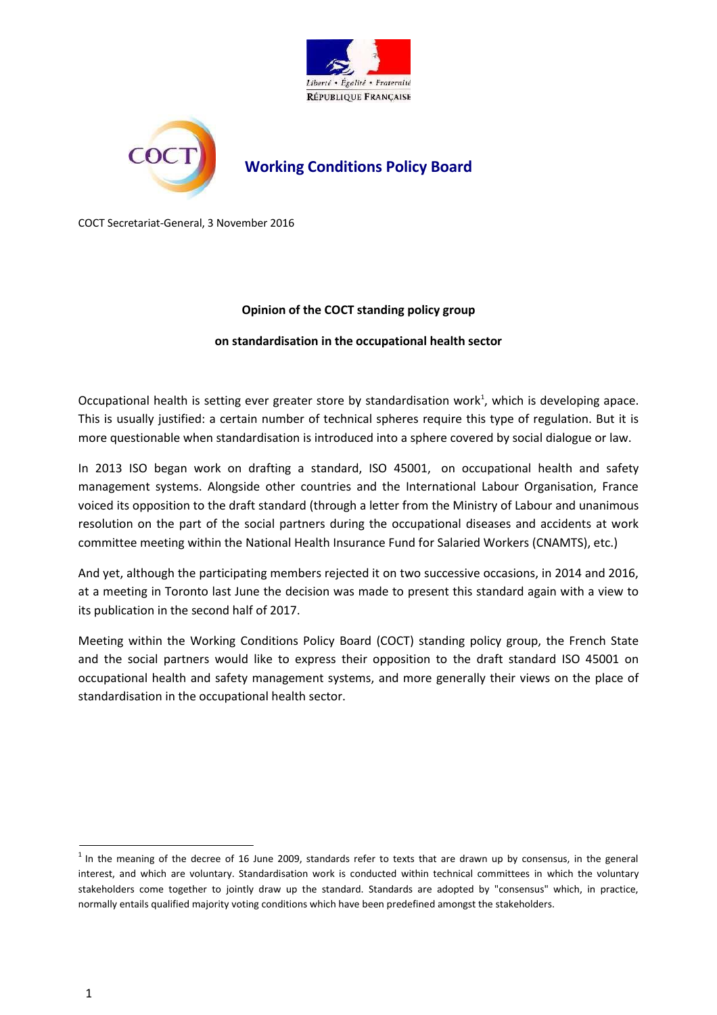



# **Working Conditions Policy Board**

COCT Secretariat-General, 3 November 2016

#### **Opinion of the COCT standing policy group**

#### **on standardisation in the occupational health sector**

Occupational health is setting ever greater store by standardisation work<sup>1</sup>, which is developing apace. This is usually justified: a certain number of technical spheres require this type of regulation. But it is more questionable when standardisation is introduced into a sphere covered by social dialogue or law.

In 2013 ISO began work on drafting a standard, ISO 45001, on occupational health and safety management systems. Alongside other countries and the International Labour Organisation, France voiced its opposition to the draft standard (through a letter from the Ministry of Labour and unanimous resolution on the part of the social partners during the occupational diseases and accidents at work committee meeting within the National Health Insurance Fund for Salaried Workers (CNAMTS), etc.)

And yet, although the participating members rejected it on two successive occasions, in 2014 and 2016, at a meeting in Toronto last June the decision was made to present this standard again with a view to its publication in the second half of 2017.

Meeting within the Working Conditions Policy Board (COCT) standing policy group, the French State and the social partners would like to express their opposition to the draft standard ISO 45001 on occupational health and safety management systems, and more generally their views on the place of standardisation in the occupational health sector.

 $1$  In the meaning of the decree of 16 June 2009, standards refer to texts that are drawn up by consensus, in the general interest, and which are voluntary. Standardisation work is conducted within technical committees in which the voluntary stakeholders come together to jointly draw up the standard. Standards are adopted by "consensus" which, in practice, normally entails qualified majority voting conditions which have been predefined amongst the stakeholders.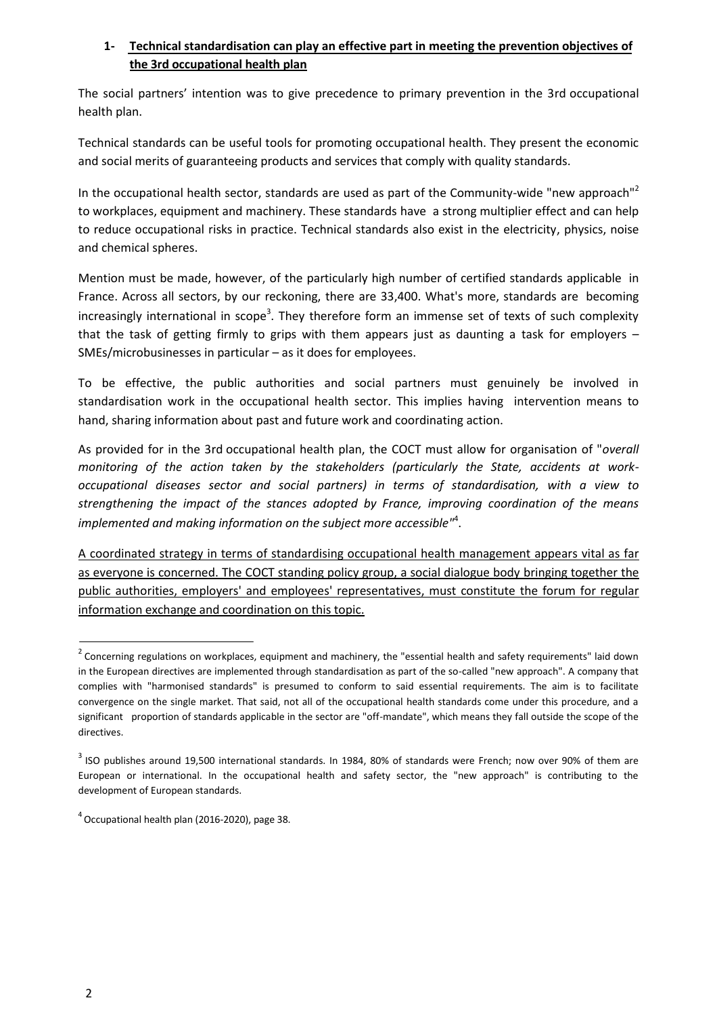### **1- Technical standardisation can play an effective part in meeting the prevention objectives of the 3rd occupational health plan**

The social partners' intention was to give precedence to primary prevention in the 3rd occupational health plan.

Technical standards can be useful tools for promoting occupational health. They present the economic and social merits of guaranteeing products and services that comply with quality standards.

In the occupational health sector, standards are used as part of the Community-wide "new approach"<sup>2</sup> to workplaces, equipment and machinery. These standards have a strong multiplier effect and can help to reduce occupational risks in practice. Technical standards also exist in the electricity, physics, noise and chemical spheres.

Mention must be made, however, of the particularly high number of certified standards applicable in France. Across all sectors, by our reckoning, there are 33,400. What's more, standards are becoming increasingly international in scope<sup>3</sup>. They therefore form an immense set of texts of such complexity that the task of getting firmly to grips with them appears just as daunting a task for employers – SMEs/microbusinesses in particular – as it does for employees.

To be effective, the public authorities and social partners must genuinely be involved in standardisation work in the occupational health sector. This implies having intervention means to hand, sharing information about past and future work and coordinating action.

As provided for in the 3rd occupational health plan, the COCT must allow for organisation of "*overall monitoring of the action taken by the stakeholders (particularly the State, accidents at workoccupational diseases sector and social partners) in terms of standardisation, with a view to strengthening the impact of the stances adopted by France, improving coordination of the means implemented and making information on the subject more accessible"*<sup>4</sup> .

A coordinated strategy in terms of standardising occupational health management appears vital as far as everyone is concerned. The COCT standing policy group, a social dialogue body bringing together the public authorities, employers' and employees' representatives, must constitute the forum for regular information exchange and coordination on this topic.

 $2$  Concerning regulations on workplaces, equipment and machinery, the "essential health and safety requirements" laid down in the European directives are implemented through standardisation as part of the so-called "new approach". A company that complies with "harmonised standards" is presumed to conform to said essential requirements. The aim is to facilitate convergence on the single market. That said, not all of the occupational health standards come under this procedure, and a significant proportion of standards applicable in the sector are "off-mandate", which means they fall outside the scope of the directives.

 $3$  ISO publishes around 19,500 international standards. In 1984, 80% of standards were French; now over 90% of them are European or international. In the occupational health and safety sector, the "new approach" is contributing to the development of European standards.

 $^{4}$  Occupational health plan (2016-2020), page 38.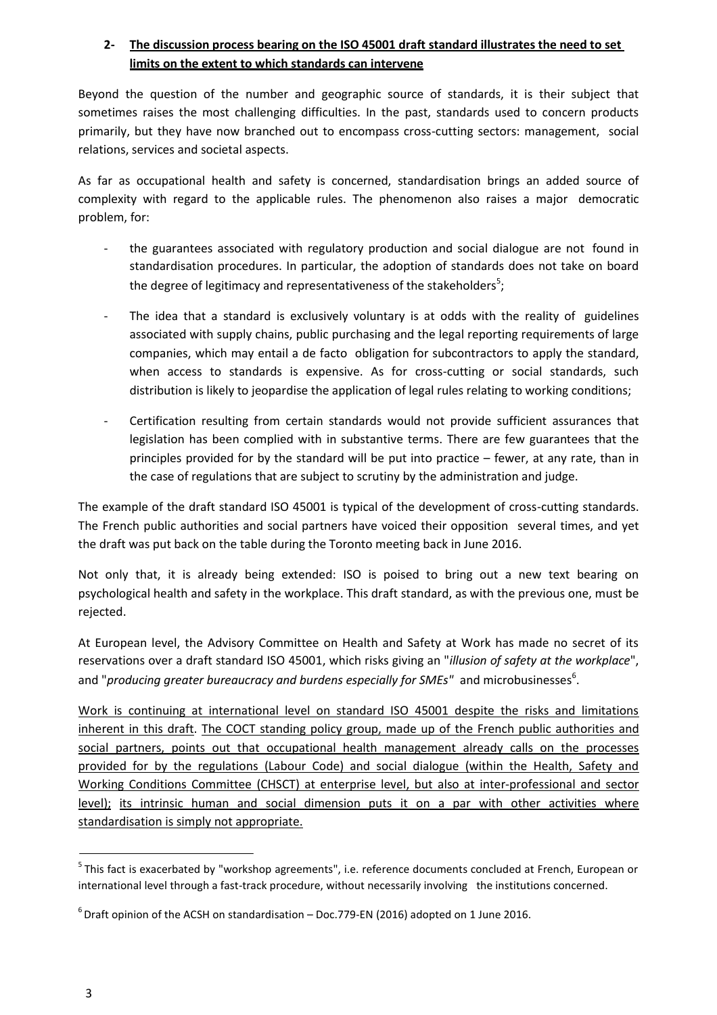## **2- The discussion process bearing on the ISO 45001 draft standard illustrates the need to set limits on the extent to which standards can intervene**

Beyond the question of the number and geographic source of standards, it is their subject that sometimes raises the most challenging difficulties. In the past, standards used to concern products primarily, but they have now branched out to encompass cross-cutting sectors: management, social relations, services and societal aspects.

As far as occupational health and safety is concerned, standardisation brings an added source of complexity with regard to the applicable rules. The phenomenon also raises a major democratic problem, for:

- the guarantees associated with regulatory production and social dialogue are not found in standardisation procedures. In particular, the adoption of standards does not take on board the degree of legitimacy and representativeness of the stakeholders $5$ ;
- The idea that a standard is exclusively voluntary is at odds with the reality of guidelines associated with supply chains, public purchasing and the legal reporting requirements of large companies, which may entail a de facto obligation for subcontractors to apply the standard, when access to standards is expensive. As for cross-cutting or social standards, such distribution is likely to jeopardise the application of legal rules relating to working conditions;
- Certification resulting from certain standards would not provide sufficient assurances that legislation has been complied with in substantive terms. There are few guarantees that the principles provided for by the standard will be put into practice – fewer, at any rate, than in the case of regulations that are subject to scrutiny by the administration and judge.

The example of the draft standard ISO 45001 is typical of the development of cross-cutting standards. The French public authorities and social partners have voiced their opposition several times, and yet the draft was put back on the table during the Toronto meeting back in June 2016.

Not only that, it is already being extended: ISO is poised to bring out a new text bearing on psychological health and safety in the workplace. This draft standard, as with the previous one, must be rejected.

At European level, the Advisory Committee on Health and Safety at Work has made no secret of its reservations over a draft standard ISO 45001, which risks giving an "*illusion of safety at the workplace*", and "*producing greater bureaucracy and burdens especially for SMEs"* and microbusinesses<sup>6</sup>.

Work is continuing at international level on standard ISO 45001 despite the risks and limitations inherent in this draft. The COCT standing policy group, made up of the French public authorities and social partners, points out that occupational health management already calls on the processes provided for by the regulations (Labour Code) and social dialogue (within the Health, Safety and Working Conditions Committee (CHSCT) at enterprise level, but also at inter-professional and sector level); its intrinsic human and social dimension puts it on a par with other activities where standardisation is simply not appropriate.

 $^5$ This fact is exacerbated by "workshop agreements", i.e. reference documents concluded at French, European or international level through a fast-track procedure, without necessarily involving the institutions concerned.

 $^6$  Draft opinion of the ACSH on standardisation – Doc.779-EN (2016) adopted on 1 June 2016.